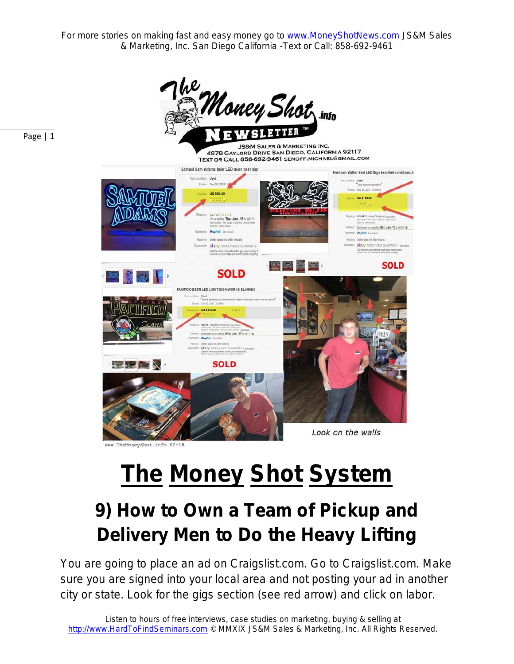

# **The Money Shot System**

## **9) How to Own a Team of Pickup and Delivery Men to Do the Heavy Lifting**

You are going to place an ad on Craigslist.com. Go to Craigslist.com. Make sure you are signed into your local area and not posting your ad in another city or state. Look for the gigs section (see red arrow) and click on labor.

Page | 1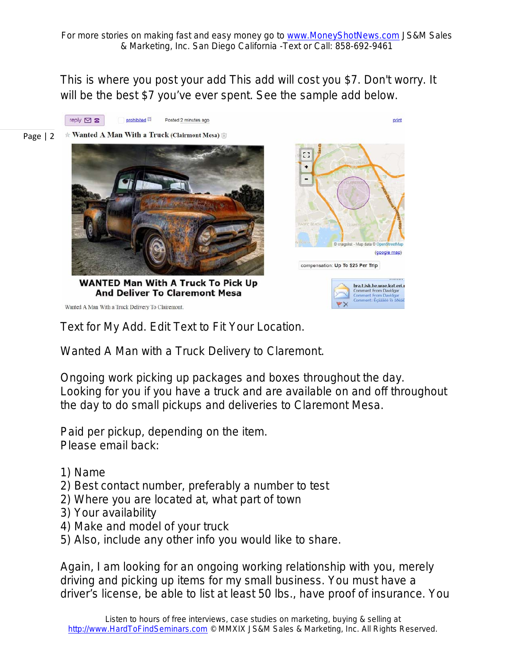This is where you post your add This add will cost you \$7. Don't worry. It will be the best \$7 you've ever spent. See the sample add below.

reply  $\boxtimes$   $\boxtimes$ prohibited<sup>[2]</sup> Posted 2 minutes ago print Page | 2  $\star$  Wanted A Man With a Truck (Clairmont Mesa) EG. ٠ Ξ (google map) compensation: Up To \$25 Per Trip WANTED Man With A Truck To Pick Up bra.t.ish.he.wae.kat.er<mark>i.r</mark> **And Deliver To Claremont Mesa** Comment From Davido ent From Davidge<br>ent: Écáââêò îò â Wanted A Man With a Truck Delivery To Clairemont.

Text for My Add. Edit Text to Fit Your Location.

Wanted A Man with a Truck Delivery to Claremont.

Ongoing work picking up packages and boxes throughout the day. Looking for you if you have a truck and are available on and off throughout the day to do small pickups and deliveries to Claremont Mesa.

Paid per pickup, depending on the item. Please email back:

- 1) Name
- 2) Best contact number, preferably a number to test
- 2) Where you are located at, what part of town
- 3) Your availability
- 4) Make and model of your truck
- 5) Also, include any other info you would like to share.

Again, I am looking for an ongoing working relationship with you, merely driving and picking up items for my small business. You must have a driver's license, be able to list at least 50 lbs., have proof of insurance. You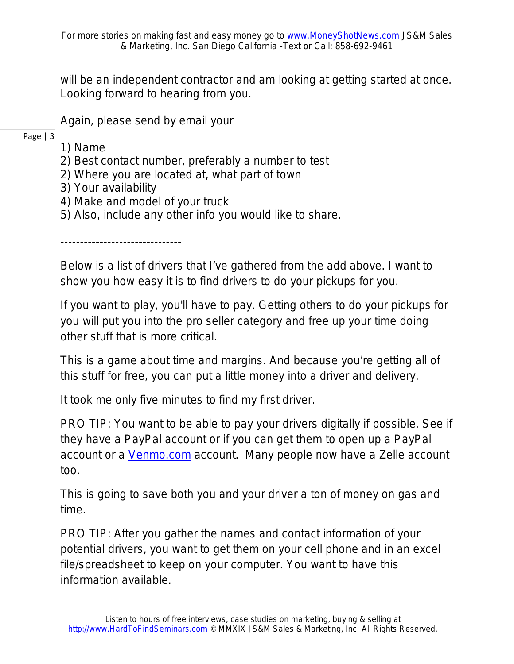will be an independent contractor and am looking at getting started at once. Looking forward to hearing from you.

Again, please send by email your

- Page | 3
- 1) Name
- 2) Best contact number, preferably a number to test
- 2) Where you are located at, what part of town
- 3) Your availability
- 4) Make and model of your truck
- 5) Also, include any other info you would like to share.

-------------------------------

Below is a list of drivers that I've gathered from the add above. I want to show you how easy it is to find drivers to do your pickups for you.

If you want to play, you'll have to pay. Getting others to do your pickups for you will put you into the pro seller category and free up your time doing other stuff that is more critical.

This is a game about time and margins. And because you're getting all of this stuff for free, you can put a little money into a driver and delivery.

It took me only five minutes to find my first driver.

PRO TIP: You want to be able to pay your drivers digitally if possible. See if they have a PayPal account or if you can get them to open up a PayPal account or a [Venmo.com](https://venmo.com/) account. Many people now have a Zelle account too.

This is going to save both you and your driver a ton of money on gas and time.

PRO TIP: After you gather the names and contact information of your potential drivers, you want to get them on your cell phone and in an excel file/spreadsheet to keep on your computer. You want to have this information available.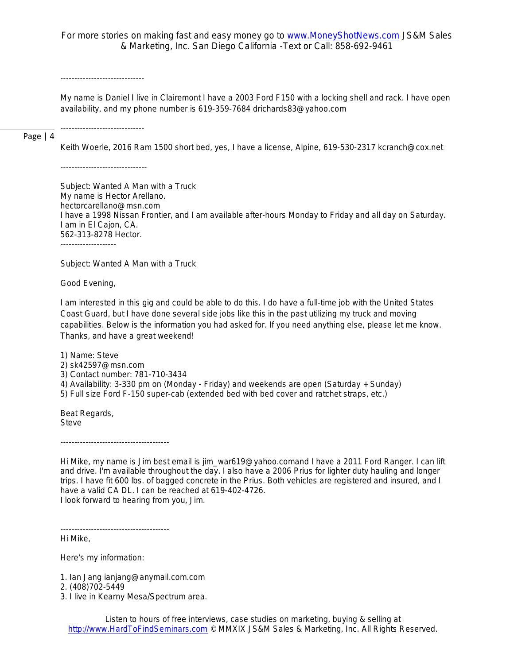*------------------------------*

*My name is Daniel I live in Clairemont I have a 2003 Ford F150 with a locking shell and rack. I have open availability, and my phone number is 619-359-7684 drichards83@yahoo.com*

Page | 4

*Keith Woerle, 2016 Ram 1500 short bed, yes, I have a license, Alpine, 619-530-2317 kcranch@cox.net*

*-------------------------------*

*------------------------------*

*Subject: Wanted A Man with a Truck My name is Hector Arellano. hectorcarellano@msn.com I have a 1998 Nissan Frontier, and I am available after-hours Monday to Friday and all day on Saturday. I am in El Cajon, CA. 562-313-8278 Hector. --------------------*

*Subject: Wanted A Man with a Truck*

*Good Evening,*

*I am interested in this gig and could be able to do this. I do have a full-time job with the United States Coast Guard, but I have done several side jobs like this in the past utilizing my truck and moving capabilities. Below is the information you had asked for. If you need anything else, please let me know. Thanks, and have a great weekend!*

*1) Name: Steve 2) sk42597@msn.com 3) Contact number: 781-710-3434 4) Availability: 3-330 pm on (Monday - Friday) and weekends are open (Saturday + Sunday) 5) Full size Ford F-150 super-cab (extended bed with bed cover and ratchet straps, etc.)*

*Beat Regards, Steve*

*---------------------------------------*

*Hi Mike, my name is Jim best email is jim\_war619@yahoo.comand I have a 2011 Ford Ranger. I can lift and drive. I'm available throughout the day. I also have a 2006 Prius for lighter duty hauling and longer trips. I have fit 600 lbs. of bagged concrete in the Prius. Both vehicles are registered and insured, and I have a valid CA DL. I can be reached at 619-402-4726. I look forward to hearing from you, Jim.*

*Hi Mike,*

*Here's my information:*

*---------------------------------------*

*1. Ian Jang ianjang@anymail.com.com* 

*2. (408)702-5449*

*3. I live in Kearny Mesa/Spectrum area.*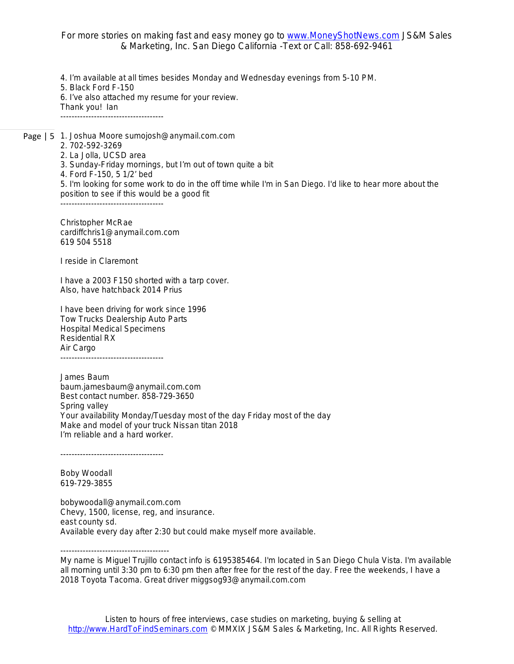*4. I'm available at all times besides Monday and Wednesday evenings from 5-10 PM. 5. Black Ford F-150 6. I've also attached my resume for your review. Thank you! Ian -------------------------------------*

Page | 5 *1. Joshua Moore sumojosh@anymail.com.com 2. 702-592-3269 2. La Jolla, UCSD area 3. Sunday-Friday mornings, but I'm out of town quite a bit 4. Ford F-150, 5 1/2' bed 5. I'm looking for some work to do in the off time while I'm in San Diego. I'd like to hear more about the position to see if this would be a good fit -------------------------------------*

*Christopher McRae cardiffchris1@anymail.com.com 619 504 5518*

*I reside in Claremont*

*I have a 2003 F150 shorted with a tarp cover. Also, have hatchback 2014 Prius*

*I have been driving for work since 1996 Tow Trucks Dealership Auto Parts Hospital Medical Specimens Residential RX Air Cargo -------------------------------------*

*James Baum baum.jamesbaum@anymail.com.com Best contact number. 858-729-3650 Spring valley Your availability Monday/Tuesday most of the day Friday most of the day Make and model of your truck Nissan titan 2018 I'm reliable and a hard worker.*

*-------------------------------------*

*Boby Woodall 619-729-3855*

*bobywoodall@anymail.com.com Chevy, 1500, license, reg, and insurance. east county sd. Available every day after 2:30 but could make myself more available.* 

*---------------------------------------*

*My name is Miguel Trujillo contact info is 6195385464. I'm located in San Diego Chula Vista. I'm available all morning until 3:30 pm to 6:30 pm then after free for the rest of the day. Free the weekends, I have a 2018 Toyota Tacoma. Great driver miggsog93@anymail.com.com*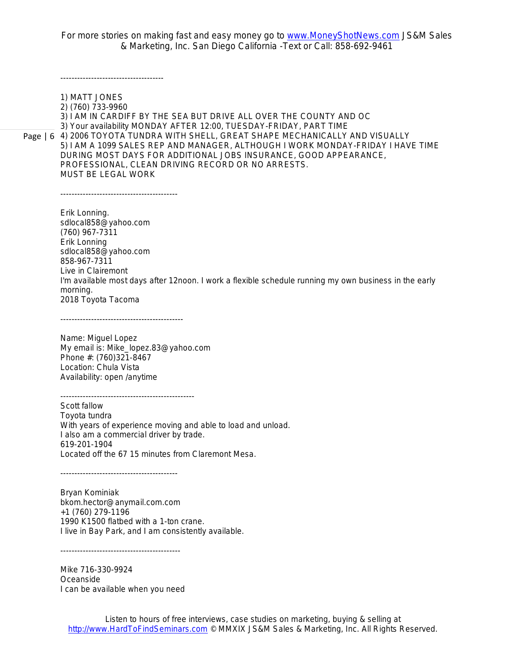*-------------------------------------*

Page | 6 *4) 2006 TOYOTA TUNDRA WITH SHELL, GREAT SHAPE MECHANICALLY AND VISUALLY 1) MATT JONES 2) (760) 733-9960 3) I AM IN CARDIFF BY THE SEA BUT DRIVE ALL OVER THE COUNTY AND OC 3) Your availability MONDAY AFTER 12:00, TUESDAY-FRIDAY, PART TIME 5) I AM A 1099 SALES REP AND MANAGER, ALTHOUGH I WORK MONDAY-FRIDAY I HAVE TIME DURING MOST DAYS FOR ADDITIONAL JOBS INSURANCE, GOOD APPEARANCE, PROFESSIONAL, CLEAN DRIVING RECORD OR NO ARRESTS. MUST BE LEGAL WORK ------------------------------------------ Erik Lonning. sdlocal858@yahoo.com (760) 967-7311 Erik Lonning sdlocal858@yahoo.com 858-967-7311 Live in Clairemont I'm available most days after 12noon. I work a flexible schedule running my own business in the early morning. 2018 Toyota Tacoma -------------------------------------------- Name: Miguel Lopez My email is: Mike\_lopez.83@yahoo.com Phone #: (760)321-8467 Location: Chula Vista Availability: open /anytime ------------------------------------------------ Scott fallow Toyota tundra With years of experience moving and able to load and unload. I also am a commercial driver by trade. 619-201-1904 Located off the 67 15 minutes from Claremont Mesa. ------------------------------------------ Bryan Kominiak bkom.hector@anymail.com.com +1 (760) 279-1196 1990 K1500 flatbed with a 1-ton crane. I live in Bay Park, and I am consistently available.*

*-------------------------------------------*

*Mike 716-330-9924 Oceanside I can be available when you need*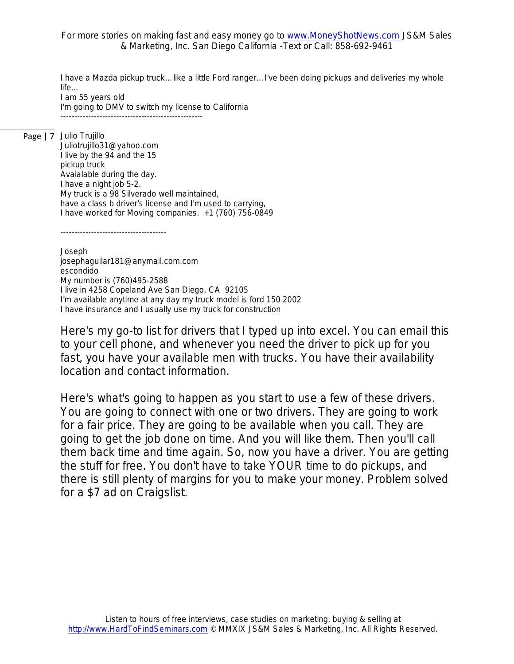*I have a Mazda pickup truck…like a little Ford ranger…I've been doing pickups and deliveries my whole life…*

*I am 55 years old I'm going to DMV to switch my license to California ---------------------------------------------------*

Page | 7 *Julio Trujillo*

*Juliotrujillo31@yahoo.com I live by the 94 and the 15 pickup truck Avaialable during the day. I have a night job 5-2. My truck is a 98 Silverado well maintained, have a class b driver's license and I'm used to carrying, I have worked for Moving companies. +1 (760) 756-0849*

*--------------------------------------*

*Joseph josephaguilar181@anymail.com.com escondido My number is (760)495-2588 I live in 4258 Copeland Ave San Diego, CA 92105 I'm available anytime at any day my truck model is ford 150 2002 I have insurance and I usually use my truck for construction*

Here's my go-to list for drivers that I typed up into excel. You can email this to your cell phone, and whenever you need the driver to pick up for you fast, you have your available men with trucks. You have their availability location and contact information.

Here's what's going to happen as you start to use a few of these drivers. You are going to connect with one or two drivers. They are going to work for a fair price. They are going to be available when you call. They are going to get the job done on time. And you will like them. Then you'll call them back time and time again. So, now you have a driver. You are getting the stuff for free. You don't have to take YOUR time to do pickups, and there is still plenty of margins for you to make your money. Problem solved for a \$7 ad on Craigslist.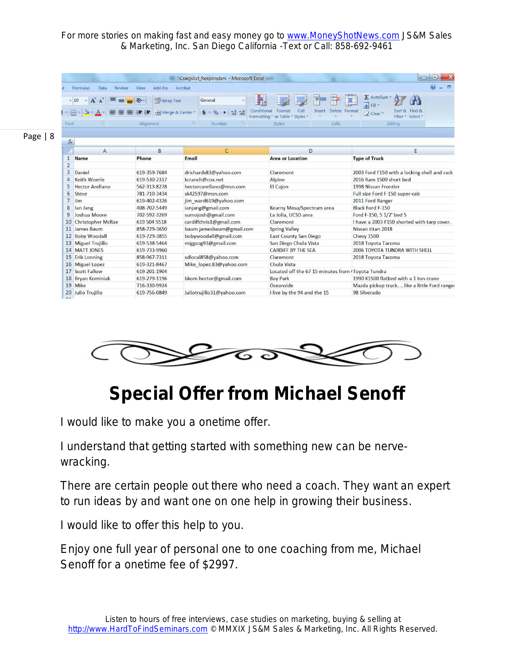|                                |                            |                           | Craigslist Responders - Microsoft Excel        |                                  |                                                   | $\equiv$                                     |  |
|--------------------------------|----------------------------|---------------------------|------------------------------------------------|----------------------------------|---------------------------------------------------|----------------------------------------------|--|
| ït                             | Review<br>Formulas<br>Data | Add-Ins<br>View           | Acrobat                                        |                                  |                                                   |                                              |  |
|                                | A<br>$-10$                 | Wrap Text                 | General                                        | $-155$                           |                                                   | Σ AutoSum<br>Ħ                               |  |
| $ \cdot $ $\mathbb{H}$ $\cdot$ |                            | -a- Merge & Center *<br>æ | $\frac{1}{00}$ $\frac{0}{00}$<br>$s -$         | Conditional<br>Cell<br>Format    | Delete Format<br>Insert                           | Fill *<br>Sort & Find &<br>2 Clear           |  |
|                                |                            |                           |                                                | Formatting * as Table * Styles * |                                                   | Filter * Select *                            |  |
| Font                           | - 50                       | Alignment                 | 15<br>Number<br>15                             | Styles                           | Cells                                             | Editing                                      |  |
|                                |                            |                           |                                                |                                  |                                                   |                                              |  |
| fx                             |                            |                           |                                                |                                  |                                                   |                                              |  |
|                                | A                          | B                         | $\mathsf{C}$                                   |                                  | D                                                 | E                                            |  |
| $\mathbf{1}$                   | <b>Name</b>                | Phone                     | Email                                          | <b>Area or Location</b>          |                                                   | <b>Type of Truck</b>                         |  |
| $\overline{2}$                 |                            |                           |                                                |                                  |                                                   |                                              |  |
| $\overline{3}$                 | Daniel                     | 619-359-7684              | drichards83@yahoo.com                          | Claremont                        |                                                   | 2003 Ford F150 with a locking shell and rack |  |
| $\overline{4}$                 | Keith Woerle               | 619-530-2317              | kcranch@cox.net<br>Alpine                      |                                  |                                                   | 2016 Ram 1500 short bed                      |  |
| 5                              | <b>Hector Arellano</b>     | 562-313-8278              | hectorcarellano@msn.com                        | <b>El Cajon</b>                  |                                                   | 1998 Nissan Frontier                         |  |
| 6                              | Steve                      | 781-710-3434              | sk42597@msn.com                                |                                  |                                                   | Full size Ford F-150 super-cab               |  |
| 7                              | Jim                        | 619-402-4326              | jim ward619@yahoo.com                          |                                  |                                                   | 2011 Ford Ranger                             |  |
| 8                              | lan Jang                   | 408-702-5449              | ianjang@gmail.com<br>Kearny Mesa/Spectrum area |                                  |                                                   | <b>Black Ford F-150</b>                      |  |
| 9                              | Joshua Moore               | 702-592-3269              | sumojosh@gmail.com                             | La Jolla, UCSD area              |                                                   | Ford F-150, 5 1/2' bed 5                     |  |
| 10                             | <b>Christopher McRae</b>   | 619 504 5518              | cardiffchris1@gmail.com                        | Claremont                        |                                                   | I have a 2003 F150 shorted with tarp cover.  |  |
| 11                             | James Baum                 | 858-729-3650              | baum.jamesbaum@gmail.com                       | <b>Spring Valley</b>             |                                                   | Nissan titan 2018                            |  |
| 12                             | <b>Boby Woodall</b>        | 619-729-3855              | bobywoodall@gmail.com                          | <b>East County San Diego</b>     |                                                   | Chevy 1500                                   |  |
| 13                             | <b>Miguel Trujillo</b>     | 619-538-5464              | miggsog93@gmail.com                            | San Diego Chula Vista            |                                                   | 2018 Toyota Tacoma                           |  |
| 14                             | <b>MATT JONES</b>          | 619-733-9960              |                                                | <b>CARDIFF BY THE SEA</b>        |                                                   | 2006 TOYOTA TUNDRA WITH SHELL                |  |
| 15                             | <b>Erik Lonning</b>        | 858-967-7311              | sdlocal858@yahoo.com                           | Claremont                        |                                                   | 2018 Toyota Tacoma                           |  |
| 16                             | <b>Miguel Lopez</b>        | 619-321-8467              | Mike lopez.83@yahoo.com                        | Chula Vista                      |                                                   |                                              |  |
| 17                             | Scott Fallow               | 619-201-1904              |                                                |                                  | Located off the 67 15 minutes from (Toyota Tundra |                                              |  |
| 18                             | <b>Bryan Kominiak</b>      | 619-279-1196              | bkom.hector@gmail.com                          | <b>Bay Park</b>                  |                                                   | 1990 K1500 flatbed with a 1 ton crane        |  |
|                                | 19 Mike                    | 716-330-9924              |                                                | Oceanside                        |                                                   | Mazda pickup trucklike a little Ford ranger  |  |
| 20                             | Julio Trujillo             | 619-756-0849              | Juliotrujillo31@yahoo.com                      | I live by the 94 and the 15      |                                                   | 98 Silverado                                 |  |
| 24                             |                            |                           |                                                |                                  |                                                   |                                              |  |



### **Special Offer from Michael Senoff**

I would like to make you a onetime offer.

I understand that getting started with something new can be nervewracking.

There are certain people out there who need a coach. They want an expert to run ideas by and want one on one help in growing their business.

I would like to offer this help to you.

Enjoy one full year of personal one to one coaching from me, Michael Senoff for a onetime fee of \$2997.